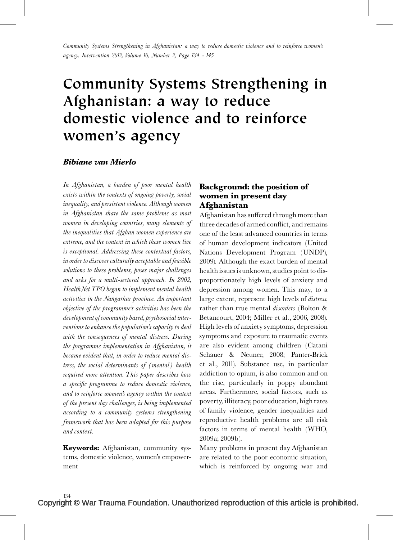# Community Systems Strengthening in Afghanistan: a way to reduce domestic violence and to reinforce women's agency

#### Bibiane van Mierlo

In Afghanistan, a burden of poor mental health exists within the contexts of ongoing poverty, social inequality, and persistent violence. Although women in Afghanistan share the same problems as most women in developing countries, many elements of the inequalities that Afghan women experience are extreme, and the context in which these women live is exceptional. Addressing these contextual factors, in order to discover culturally acceptable and feasible solutions to these problems, poses major challenges and asks for a multi-sectoral approach. In 2002, HealthNet TPO began to implement mental health activities in the Nangarhar province. An important objective of the programme's activities has been the development of community based, psychosocial interventions to enhance the population's capacity to deal with the consequences of mental distress. During the programme implementation in Afghanistan, it became evident that, in order to reduce mental distress, the social determinants of (mental) health required more attention. This paper describes how a specific programme to reduce domestic violence, and to reinforce women's agency within the context of the present day challenges, is being implemented according to a community systems strengthening framework that has been adapted for this purpose and context.

Keywords: Afghanistan, community systems, domestic violence, women's empowerment

## Background: the position of women in present day Afghanistan

Afghanistan has suffered through more than three decades of armed conflict, and remains one of the least advanced countries in terms of human development indicators ([United](#page-11-0) [Nations Development Program \(UNDP\),](#page-11-0) [2009\)](#page-11-0). Although the exact burden of mental health issues is unknown, studies point to disproportionately high levels of anxiety and depression among women. This may, to a large extent, represent high levels of distress, rather than true mental disorders [\(Bolton &](#page-9-0) [Betancourt, 2004;](#page-9-0) [Miller et al., 2006, 2008\)](#page-10-0). High levels of anxiety symptoms, depression symptoms and exposure to traumatic events are also evident among children [\(Catani](#page-9-0) [Schauer & Neuner, 2008;](#page-9-0) [Panter-Brick](#page-10-0) [et al., 2011\)](#page-10-0). Substance use, in particular addiction to opium, is also common and on the rise, particularly in poppy abundant areas. Furthermore, social factors, such as poverty, illiteracy, poor education, high rates of family violence, gender inequalities and reproductive health problems are all risk factors in terms of mental health ([WHO,](#page-11-0) [2009a; 2009b](#page-11-0)).

Many problems in present day Afghanistan are related to the poor economic situation, which is reinforced by ongoing war and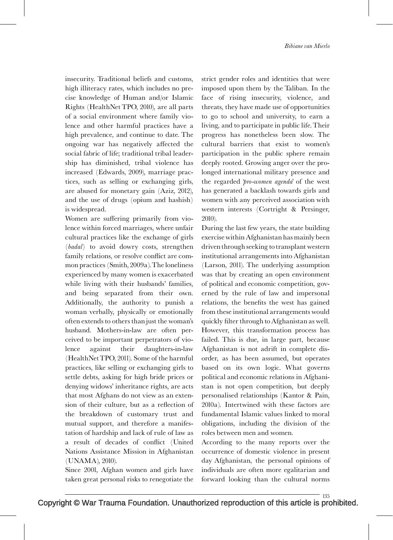insecurity. Traditional beliefs and customs, high illiteracy rates, which includes no precise knowledge of Human and/or Islamic Rights ([HealthNet TPO, 2010\)](#page-10-0), are all parts of a social environment where family violence and other harmful practices have a high prevalence, and continue to date. The ongoing war has negatively affected the social fabric of life; traditional tribal leadership has diminished, tribal violence has increased ([Edwards, 2009\)](#page-10-0), marriage practices, such as selling or exchanging girls, are abused for monetary gain [\(Aziz, 2012\)](#page-9-0), and the use of drugs (opium and hashish) is widespread.

Women are suffering primarily from violence within forced marriages, where unfair cultural practices like the exchange of girls (badal) to avoid dowry costs, strengthen family relations, or resolve conflict are common practices [\(Smith, 2009a\)](#page-10-0).The loneliness experienced by many women is exacerbated while living with their husbands' families, and being separated from their own. Additionally, the authority to punish a woman verbally, physically or emotionally often extends to others than just the woman's husband. Mothers-in-law are often perceived to be important perpetrators of violence against their daughters-in-law ([HealthNetTPO, 2011\)](#page-10-0). Some of the harmful practices, like selling or exchanging girls to settle debts, asking for high bride prices or denying widows' inheritance rights, are acts that most Afghans do not view as an extension of their culture, but as a reflection of the breakdown of customary trust and mutual support, and therefore a manifestation of hardship and lack of rule of law as a result of decades of conflict ([United](#page-10-0) [Nations Assistance Mission in Afghanistan](#page-10-0) [\(UNAMA\), 2010\)](#page-10-0).

Since 2001, Afghan women and girls have taken great personal risks to renegotiate the strict gender roles and identities that were imposed upon them by the Taliban. In the face of rising insecurity, violence, and threats, they have made use of opportunities to go to school and university, to earn a living, and to participate in public life.Their progress has nonetheless been slow. The cultural barriers that exist to women's participation in the public sphere remain deeply rooted. Growing anger over the prolonged international military presence and the regarded 'pro-women agenda' of the west has generated a backlash towards girls and women with any perceived association with western interests [\(Cortright & Persinger,](#page-9-0) [2010\)](#page-9-0).

During the last few years, the state building exercise within Afghanistan has mainly been driven through seeking to transplant western institutional arrangements into Afghanistan ([Larson, 2011\)](#page-10-0). The underlying assumption was that by creating an open environment of political and economic competition, governed by the rule of law and impersonal relations, the benefits the west has gained from these institutional arrangements would quickly ¢lter through to Afghanistan as well. However, this transformation process has failed. This is due, in large part, because Afghanistan is not adrift in complete disorder, as has been assumed, but operates based on its own logic. What governs political and economic relations in Afghanistan is not open competition, but deeply personalised relationships ([Kantor & Pain,](#page-10-0) [2010a](#page-10-0)). Intertwined with these factors are fundamental Islamic values linked to moral obligations, including the division of the roles between men and women.

According to the many reports over the occurrence of domestic violence in present day Afghanistan, the personal opinions of individuals are often more egalitarian and forward looking than the cultural norms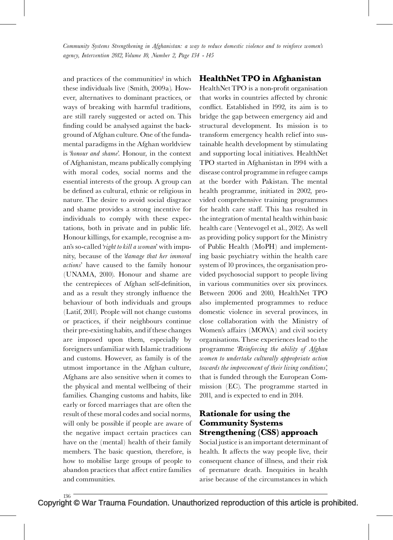and practices of the communities<sup>[1](#page-11-0)</sup> in which these individuals live [\(Smith, 2009a](#page-10-0)). However, alternatives to dominant practices, or ways of breaking with harmful traditions, are still rarely suggested or acted on. This finding could be analysed against the background of Afghan culture. One of the fundamental paradigms in the Afghan worldview is 'honour and shame'. Honour, in the context of Afghanistan, means publically complying with moral codes, social norms and the essential interests of the group. A group can be defined as cultural, ethnic or religious in nature. The desire to avoid social disgrace and shame provides a strong incentive for individuals to comply with these expectations, both in private and in public life. Honour killings, for example, recognise a man's so-called 'right to kill a woman' with impunity, because of the 'damage that her immoral actions' have caused to the family honour ([UNAMA, 2010\)](#page-10-0). Honour and shame are the centrepieces of Afghan self-definition, and as a result they strongly influence the behaviour of both individuals and groups ([Latif, 2011\)](#page-10-0). People will not change customs or practices, if their neighbours continue their pre-existing habits, and if these changes are imposed upon them, especially by foreigners unfamiliar with Islamic traditions and customs. However, as family is of the utmost importance in the Afghan culture, Afghans are also sensitive when it comes to the physical and mental wellbeing of their families. Changing customs and habits, like early or forced marriages that are often the result of these moral codes and social norms, will only be possible if people are aware of the negative impact certain practices can have on the (mental) health of their family members. The basic question, therefore, is how to mobilise large groups of people to abandon practices that affect entire families and communities.

# HealthNet TPO in Afghanistan

HealthNet TPO is a non-profit organisation that works in countries affected by chronic conflict. Established in 1992, its aim is to bridge the gap between emergency aid and structural development. Its mission is to transform emergency health relief into sustainable health development by stimulating and supporting local initiatives. HealthNet TPO started in Afghanistan in 1994 with a disease control programme in refugee camps at the border with Pakistan. The mental health programme, initiated in 2002, provided comprehensive training programmes for health care staff. This has resulted in the integration of mental health within basic health care ([Ventevogel et al., 2012\)](#page-11-0). As well as providing policy support for the Ministry of Public Health (MoPH) and implementing basic psychiatry within the health care system of 10 provinces, the organisation provided psychosocial support to people living in various communities over six provinces. Between 2006 and 2010, HealthNet TPO also implemented programmes to reduce domestic violence in several provinces, in close collaboration with the Ministry of Women's affairs (MOWA) and civil society organisations. These experiences lead to the programme 'Reinforcing the ability of Afghan women to undertake culturally appropriate action towards the improvement of their living conditions, that is funded through the European Commission (EC). The programme started in 2011, and is expected to end in 2014.

## Rationale for using the Community Systems Strengthening (CSS) approach

Social justice is an important determinant of health. It affects the way people live, their consequent chance of illness, and their risk of premature death. Inequities in health arise because of the circumstances in which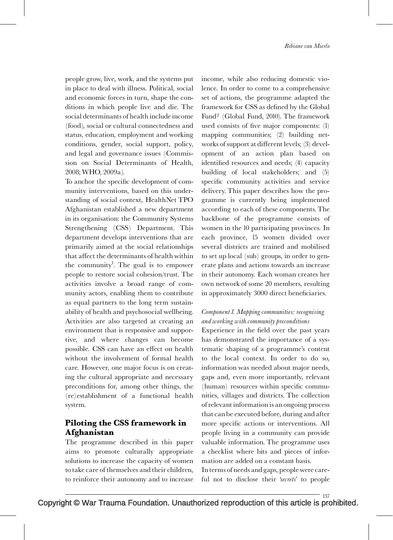people grow, live, work, and the systems put in place to deal with illness. Political, social and economic forces in turn, shape the conditions in which people live and die. The social determinants of health include income (food), social or cultural connectedness and status, education, employment and working conditions, gender, social support, policy, and legal and governance issues ([Commis](#page-9-0)[sion on Social Determinants of Health,](#page-9-0) [2008;](#page-9-0)[WHO, 2009a\)](#page-11-0).

To anchor the specific development of community interventions, based on this understanding of social context, HealthNet TPO Afghanistan established a new department in its organisation: the Community Systems Strengthening (CSS) Department. This department develops interventions that are primarily aimed at the social relationships that affect the determinants of health within the community<sup>1</sup>. The goal is to empower people to restore social cohesion/trust. The activities involve a broad range of community actors, enabling them to contribute as equal partners to the long term sustainability of health and psychosocial wellbeing. Activities are also targeted at creating an environment that is responsive and supportive, and where changes can become possible. CSS can have an effect on health without the involvement of formal health care. However, one major focus is on creating the cultural appropriate and necessary preconditions for, among other things, the (re)establishment of a functional health system.

# Piloting the CSS framework in Afghanistan

The programme described in this paper aims to promote culturally appropriate solutions to increase the capacity of women to take care of themselves and their children, to reinforce their autonomy and to increase income, while also reducing domestic violence. In order to come to a comprehensive set of actions, the programme adapted the framework for CSS as defined by the Global Fund[2](#page-11-0) ([Global Fund, 2010\)](#page-10-0). The framework used consists of five major components: (1) mapping communities; (2) building networks of support at different levels; (3) development of an action plan based on identified resources and needs; (4) capacity building of local stakeholders; and (5) specific community activities and service delivery. This paper describes how the programme is currently being implemented according to each of these components. The backbone of the programme consists of women in the 10 participating provinces. In each province, 15 women divided over several districts are trained and mobilised to set up local (sub) groups, in order to generate plans and actions towards an increase in their autonomy. Each woman creates her own network of some 20 members, resulting in approximately 3000 direct beneficiaries.

# Component 1. Mapping communities: recognising and working with community preconditions

Experience in the field over the past years has demonstrated the importance of a systematic shaping of a programme's content to the local context. In order to do so, information was needed about major needs, gaps and, even more importantly, relevant (human) resources within specific communities, villages and districts. The collection of relevant information is an ongoing process that can be executed before, during and after more specific actions or interventions. All people living in a community can provide valuable information. The programme uses a checklist where bits and pieces of information are added on a constant basis. In terms of needs and gaps, people were care-

ful not to disclose their 'secrets' to people

137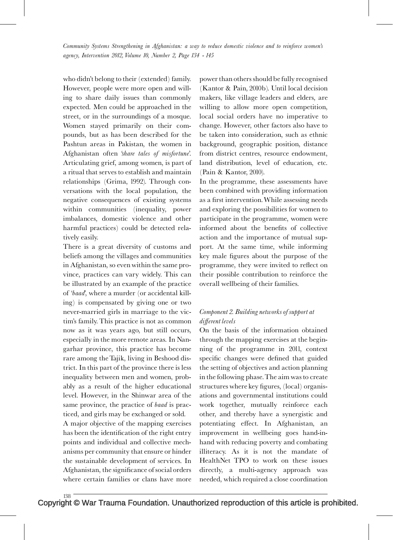who didn't belong to their (extended) family. However, people were more open and willing to share daily issues than commonly expected. Men could be approached in the street, or in the surroundings of a mosque. Women stayed primarily on their compounds, but as has been described for the Pashtun areas in Pakistan, the women in Afghanistan often 'share tales of misfortune'. Articulating grief, among women, is part of a ritual that serves to establish and maintain relationships [\(Grima, 1992\)](#page-10-0). Through conversations with the local population, the negative consequences of existing systems within communities (inequality, power imbalances, domestic violence and other harmful practices) could be detected relatively easily.

There is a great diversity of customs and beliefs among the villages and communities in Afghanistan, so even within the same province, practices can vary widely. This can be illustrated by an example of the practice of 'baad', where a murder (or accidental killing) is compensated by giving one or two never-married girls in marriage to the victim's family. This practice is not as common now as it was years ago, but still occurs, especially in the more remote areas. In Nangarhar province, this practice has become rare among the Tajik, living in Beshood district. In this part of the province there is less inequality between men and women, probably as a result of the higher educational level. However, in the Shinwar area of the same province, the practice of baad is practiced, and girls may be exchanged or sold.

A major objective of the mapping exercises has been the identification of the right entry points and individual and collective mechanisms per community that ensure or hinder the sustainable development of services. In Afghanistan, the significance of social orders where certain families or clans have more

power than others should be fully recognised ([Kantor & Pain, 2010b](#page-10-0)). Until local decision makers, like village leaders and elders, are willing to allow more open competition, local social orders have no imperative to change. However, other factors also have to be taken into consideration, such as ethnic background, geographic position, distance from district centres, resource endowment, land distribution, level of education, etc. ([Pain & Kantor, 2010\)](#page-10-0).

In the programme, these assessments have been combined with providing information as a first intervention. While assessing needs and exploring the possibilities for women to participate in the programme, women were informed about the benefits of collective action and the importance of mutual support. At the same time, while informing key male figures about the purpose of the programme, they were invited to reflect on their possible contribution to reinforce the overall wellbeing of their families.

#### Component 2. Building networks of support at different levels

On the basis of the information obtained through the mapping exercises at the beginning of the programme in 2011, context specific changes were defined that guided the setting of objectives and action planning in the following phase.The aim was to create structures where key figures, (local) organisations and governmental institutions could work together, mutually reinforce each other, and thereby have a synergistic and potentiating effect. In Afghanistan, an improvement in wellbeing goes hand-inhand with reducing poverty and combating illiteracy. As it is not the mandate of HealthNet TPO to work on these issues directly, a multi-agency approach was needed, which required a close coordination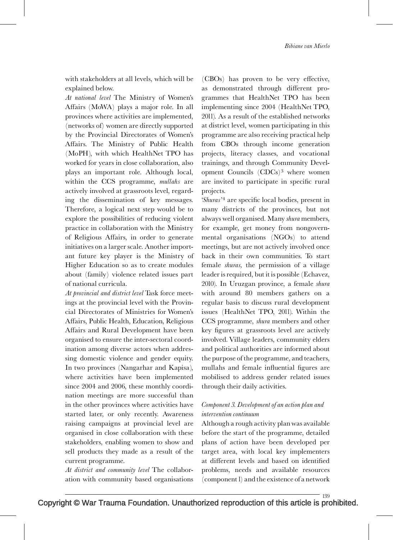with stakeholders at all levels, which will be explained below.

At national level The Ministry of Women's Affairs (MoWA) plays a major role. In all provinces where activities are implemented, (networks of) women are directly supported by the Provincial Directorates of Women's Affairs. The Ministry of Public Health (MoPH), with which HealthNet TPO has worked for years in close collaboration, also plays an important role. Although local, within the CCS programme, *mullahs* are actively involved at grassroots level, regarding the dissemination of key messages. Therefore, a logical next step would be to explore the possibilities of reducing violent practice in collaboration with the Ministry of Religious Affairs, in order to generate initiatives on a larger scale. Another important future key player is the Ministry of Higher Education so as to create modules about (family) violence related issues part of national curricula.

At provincial and district level Task force meetings at the provincial level with the Provincial Directorates of Ministries for Women's Affairs, Public Health, Education, Religious Affairs and Rural Development have been organised to ensure the inter-sectoral coordination among diverse actors when addressing domestic violence and gender equity. In two provinces (Nangarhar and Kapisa), where activities have been implemented since 2004 and 2006, these monthly coordination meetings are more successful than in the other provinces where activities have started later, or only recently. Awareness raising campaigns at provincial level are organised in close collaboration with these stakeholders, enabling women to show and sell products they made as a result of the current programme.

At district and community level The collaboration with community based organisations

 $(CBOs)$  has proven to be very effective, as demonstrated through different programmes that HealthNet TPO has been implementing since 2004 ([HealthNet TPO,](#page-10-0) [2011\)](#page-10-0). As a result of the established networks at district level, women participating in this programme are also receiving practical help from CBOs through income generation projects, literacy classes, and vocational trainings, and through Community Development Councils  $(CDCs)^3$  $(CDCs)^3$  where women are invited to participate in specific rural projects.

'Shuras'<sup>[4](#page-11-0)</sup> are specific local bodies, present in many districts of the provinces, but not always well organised. Many shura members, for example, get money from nongovernmental organisations (NGOs) to attend meetings, but are not actively involved once back in their own communities. To start female shuras, the permission of a village leader is required, but it is possible ([Echavez,](#page-9-0) [2010\)](#page-9-0). In Uruzgan province, a female shura with around 80 members gathers on a regular basis to discuss rural development issues [\(HealthNet TPO, 2011\)](#page-10-0). Within the CCS programme, shura members and other key figures at grassroots level are actively involved. Village leaders, community elders and political authorities are informed about the purpose of the programme, and teachers, mullahs and female influential figures are mobilised to address gender related issues through their daily activities.

#### Component 3. Development of an action plan and intervention continuum

Although a rough activity plan was available before the start of the programme, detailed plans of action have been developed per target area, with local key implementers at different levels and based on identified problems, needs and available resources (component l) and the existence of a network

120

Copyright © War Trauma Foundation. Unauthorized reproduction of this article is prohibited.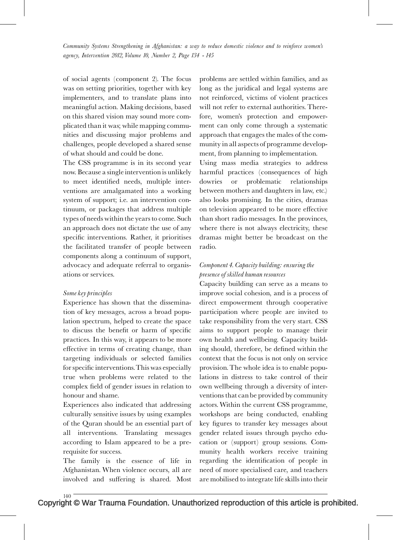of social agents (component 2). The focus was on setting priorities, together with key implementers, and to translate plans into meaningful action. Making decisions, based on this shared vision may sound more complicated than it was; while mapping communities and discussing major problems and challenges, people developed a shared sense of what should and could be done.

The CSS programme is in its second year now. Because a single intervention is unlikely to meet identified needs, multiple interventions are amalgamated into a working system of support; i.e. an intervention continuum, or packages that address multiple types of needs within the years to come. Such an approach does not dictate the use of any specific interventions. Rather, it prioritises the facilitated transfer of people between components along a continuum of support, advocacy and adequate referral to organisations or services.

#### Some key principles

Experience has shown that the dissemination of key messages, across a broad population spectrum, helped to create the space to discuss the benefit or harm of specific practices. In this way, it appears to be more effective in terms of creating change, than targeting individuals or selected families for specific interventions. This was especially true when problems were related to the complex field of gender issues in relation to honour and shame.

Experiences also indicated that addressing culturally sensitive issues by using examples of the Quran should be an essential part of all interventions. Translating messages according to Islam appeared to be a prerequisite for success.

The family is the essence of life in Afghanistan. When violence occurs, all are involved and suffering is shared. Most

problems are settled within families, and as long as the juridical and legal systems are not reinforced, victims of violent practices will not refer to external authorities. Therefore, women's protection and empowerment can only come through a systematic approach that engages the males of the community in all aspects of programme development, from planning to implementation.

Using mass media strategies to address harmful practices (consequences of high dowries or problematic relationships between mothers and daughters in law, etc.) also looks promising. In the cities, dramas on television appeared to be more effective than short radio messages. In the provinces, where there is not always electricity, these dramas might better be broadcast on the radio.

## Component 4. Capacity building: ensuring the presence of skilled human resources

Capacity building can serve as a means to improve social cohesion, and is a process of direct empowerment through cooperative participation where people are invited to take responsibility from the very start. CSS aims to support people to manage their own health and wellbeing. Capacity building should, therefore, be defined within the context that the focus is not only on service provision. The whole idea is to enable populations in distress to take control of their own wellbeing through a diversity of interventions that can be provided by community actors.Within the current CSS programme, workshops are being conducted, enabling key figures to transfer key messages about gender related issues through psycho education or (support) group sessions. Community health workers receive training regarding the identification of people in need of more specialised care, and teachers are mobilised to integrate life skills into their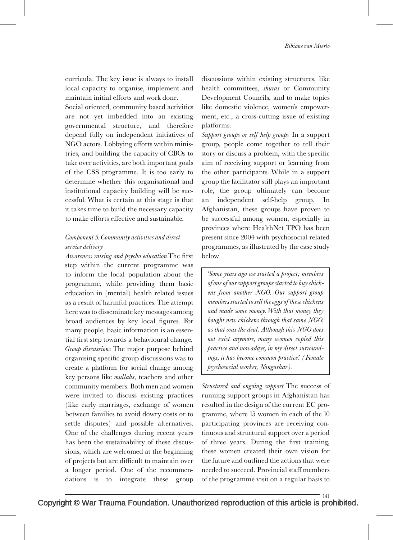curricula. The key issue is always to install local capacity to organise, implement and maintain initial efforts and work done.

Social oriented, community based activities are not yet imbedded into an existing governmental structure, and therefore depend fully on independent initiatives of NGO actors. Lobbying efforts within ministries, and building the capacity of CBOs to take over activities, are both important goals of the CSS programme. It is too early to determine whether this organisational and institutional capacity building will be successful. What is certain at this stage is that it takes time to build the necessary capacity to make efforts effective and sustainable.

## Component 5. Community activities and direct service delivery

Awareness raising and psycho education The first step within the current programme was to inform the local population about the programme, while providing them basic education in (mental) health related issues as a result of harmful practices. The attempt here was to disseminate key messages among broad audiences by key local ¢gures. For many people, basic information is an essential first step towards a behavioural change. Group discussions The major purpose behind organising specific group discussions was to create a platform for social change among key persons like mullahs, teachers and other community members. Both men and women were invited to discuss existing practices (like early marriages, exchange of women between families to avoid dowry costs or to settle disputes) and possible alternatives. One of the challenges during recent years has been the sustainability of these discussions, which are welcomed at the beginning of projects but are difficult to maintain over a longer period. One of the recommendations is to integrate these group discussions within existing structures, like health committees, shuras or Community Development Councils, and to make topics like domestic violence, women's empowerment, etc., a cross-cutting issue of existing platforms.

Support groups or self help groups In a support group, people come together to tell their story or discuss a problem, with the specific aim of receiving support or learning from the other participants. While in a support group the facilitator still plays an important role, the group ultimately can become an independent self-help group. In Afghanistan, these groups have proven to be successful among women, especially in provinces where HealthNet TPO has been present since 2004 with psychosocial related programmes, as illustrated by the case study below.

'Some years ago we started a project; members of one of our support groups started to buy chickens from another NGO. Our support group members started to sell the eggs of these chickens and made some money.With that money they bought new chickens through that same NGO, as that was the deal. Although this NGO does not exist anymore, many women copied this practice and nowadays, in my direct surroundings, it has become common practice.' (Female psychosocial worker, Nangarhar).

Structured and ongoing support The success of running support groups in Afghanistan has resulted in the design of the current EC programme, where 15 women in each of the 10 participating provinces are receiving continuous and structural support over a period of three years. During the first training, these women created their own vision for the future and outlined the actions that were needed to succeed. Provincial staff members of the programme visit on a regular basis to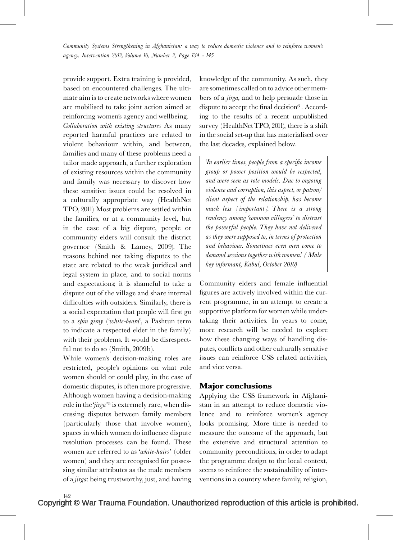provide support. Extra training is provided, based on encountered challenges. The ultimate aim is to create networks where women are mobilised to take joint action aimed at reinforcing women's agency and wellbeing. Collaboration with existing structures As many reported harmful practices are related to violent behaviour within, and between, families and many of these problems need a tailor made approach, a further exploration of existing resources within the community and family was necessary to discover how these sensitive issues could be resolved in a culturally appropriate way [\(HealthNet](#page-10-0) [TPO, 2011\)](#page-10-0) Most problems are settled within the families, or at a community level, but in the case of a big dispute, people or community elders will consult the district governor ([Smith & Lamey, 2009\)](#page-10-0). The reasons behind not taking disputes to the state are related to the weak juridical and legal system in place, and to social norms and expectations; it is shameful to take a dispute out of the village and share internal difficulties with outsiders. Similarly, there is a social expectation that people will first go to a spin giray ('white-beard', a Pashtun term to indicate a respected elder in the family) with their problems. It would be disrespectful not to do so [\(Smith, 2009b\)](#page-10-0).

While women's decision-making roles are restricted, people's opinions on what role women should or could play, in the case of domestic disputes, is often more progressive. Although women having a decision-making role in the *jirga*'<sup>[5](#page-11-0)</sup> is extremely rare, when discussing disputes between family members (particularly those that involve women), spaces in which women do influence dispute resolution processes can be found. These women are referred to as 'white-hairs' (older women) and they are recognised for possessing similar attributes as the male members of a jirga: being trustworthy, just, and having

knowledge of the community. As such, they are sometimes called on to advice other members of a jirga, and to help persuade those in dispute to accept the final decision<sup>6</sup>. According to the results of a recent unpublished survey [\(HealthNet TPO, 2011\)](#page-10-0), there is a shift in the social set-up that has materialised over the last decades, explained below.

'In earlier times, people from a specific income group or power position would be respected, and were seen as role models. Due to ongoing violence and corruption, this aspect, or patron/ client aspect of the relationship, has become much less  $\int$ important]. There is a strong tendency among 'common villagers' to distrust the powerful people. They have not delivered as they were supposed to, in terms of protection and behaviour. Sometimes even men come to demand sessions together with women? (Male key informant, Kabul, October 2010)

Community elders and female influential figures are actively involved within the current programme, in an attempt to create a supportive platform for women while undertaking their activities. In years to come, more research will be needed to explore how these changing ways of handling disputes, conflicts and other culturally sensitive issues can reinforce CSS related activities, and vice versa.

## Major conclusions

Applying the CSS framework in Afghanistan in an attempt to reduce domestic violence and to reinforce women's agency looks promising. More time is needed to measure the outcome of the approach, but the extensive and structural attention to community preconditions, in order to adapt the programme design to the local context, seems to reinforce the sustainability of interventions in a country where family, religion,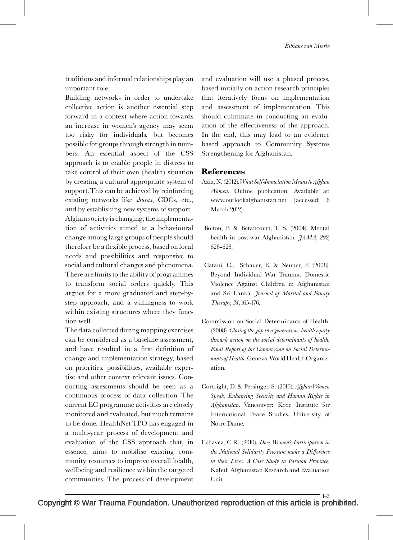<span id="page-9-0"></span>traditions and informal relationships play an important role.

Building networks in order to undertake collective action is another essential step forward in a context where action towards an increase in women's agency may seem too risky for individuals, but becomes possible for groups through strength in numbers. An essential aspect of the CSS approach is to enable people in distress to take control of their own (health) situation by creating a cultural appropriate system of support.This can be achieved by reinforcing existing networks like shuras, CDCs, etc., and by establishing new systems of support. Afghan society is changing; the implementation of activities aimed at a behavioural change among large groups of people should therefore be a flexible process, based on local needs and possibilities and responsive to social and cultural changes and phenomena. There are limits to the ability of programmes to transform social orders quickly. This argues for a more graduated and step-bystep approach, and a willingness to work within existing structures where they function well.

The data collected during mapping exercises can be considered as a baseline assessment, and have resulted in a first definition of change and implementation strategy, based on priorities, possibilities, available expertise and other context relevant issues. Conducting assessments should be seen as a continuous process of data collection. The current EC programme activities are closely monitored and evaluated, but much remains to be done. HealthNet TPO has engaged in a multi-year process of development and evaluation of the CSS approach that, in essence, aims to mobilise existing community resources to improve overall health, wellbeing and resilience within the targeted communities. The process of development

and evaluation will use a phased process, based initially on action research principles that iteratively focus on implementation and assessment of implementation. This should culminate in conducting an evaluation of the effectiveness of the approach. In the end, this may lead to an evidence based approach to Community Systems Strengthening for Afghanistan.

#### References

- Aziz, N. (2012). What Self-Immolation Means to Afghan Women. Online publication. Available at: [www.outlookafghanistan.net](http://www.outlookafghanistan.net/) (accessed: 6 March 2012).
- Bolton, P. & Betancourt, T. S. (2004). Mental health in post-war Afghanistan. JAMA, 292, 626-628.
- Catani, C., Schauer, E. & Neuner, F. (2008). Beyond Individual War Trauma: Domestic Violence Against Children in Afghanistan and Sri Lanka. Journal of Marital and Family Therapy, 34,165-176.
- Commission on Social Determinants of Health. (2008). Closing the gap in a generation: health equity through action on the social determinants of health. Final Report of the Commission on Social DeterminantsofHealth. Geneva:World Health Organization.
- Cortright, D. & Persinger, S. (2010). AfghanWomen Speak, Enhancing Security and Human Rights in Afghanistan. Vancouver: Kroc Institute for International Peace Studies, University of Notre Dame.
- Echavez, C.R. (2010). Does Women's Participation in the National Solidarity Program make a Difference in their Lives. A Case Study in Parwan Province. Kabul: Afghanistan Research and Evaluation Unit.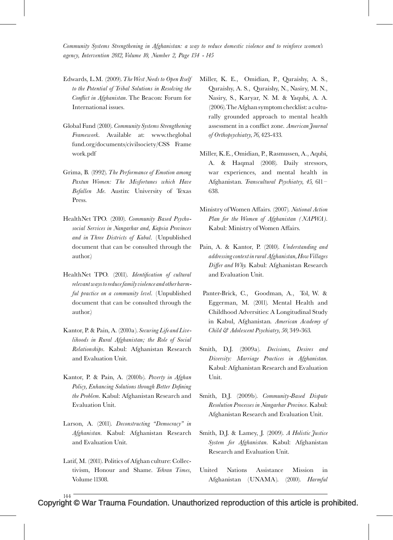- <span id="page-10-0"></span>Edwards, L.M. (2009). The West Needs to Open Itself to the Potential of Tribal Solutions in Resolving the Conflict in Afghanistan. The Beacon: Forum for International issues.
- Global Fund (2010). Community Systems Strengthening Framework. Available at: [www.theglobal](http://www.theglobalfund.org/documents/civilsociety/CSS%20Framework.pdf) [fund.org/documents/civilsociety/CSS Frame](http://www.theglobalfund.org/documents/civilsociety/CSS%20Framework.pdf) [work.pdf](http://www.theglobalfund.org/documents/civilsociety/CSS%20Framework.pdf)
- Grima, B. (1992). The Performance of Emotion among Paxtun Women: The Misfortunes which Have Befallen Me. Austin: University of Texas Press.
- HealthNet TPO. (2010). Community Based Psychosocial Services in Nangarhar and, Kapsia Provinces and in Three Districts of Kabul. (Unpublished document that can be consulted through the author.)
- HealthNet TPO. (2011). Identification of cultural relevant ways to reduce family violence and other harmful practice on a community level. (Unpublished document that can be consulted through the author.)
- Kantor, P. & Pain, A. (2010a). Securing Life and Livelihoods in Rural Afghanistan; the Role of Social Relationships. Kabul: Afghanistan Research and Evaluation Unit.
- Kantor, P. & Pain, A. (2010b). Poverty in Afghan Policy, Enhancing Solutions through Better Defining the Problem. Kabul: Afghanistan Research and Evaluation Unit.
- Larson, A. (2011). Deconstructing "Democracy" in Afghanistan. Kabul: Afghanistan Research and Evaluation Unit.
- Latif,M. (2011). Politics of Afghan culture: Collectivism, Honour and Shame. Tehran Times, Volume 11308.
- Miller, K. E., Omidian, P., Quraishy, A. S., Quraishy, A. S., Quraishy, N., Nasiry, M. N., Nasiry, S., Karyar, N. M. & Yaqubi, A. A. (2006).TheAfghan symptom checklist: aculturally grounded approach to mental health assessment in a conflict zone. American Journal of Orthopsychiatry, 76, 423-433.
- Miller, K.E., Omidian, P., Rasmussen, A., Aqubi, A. & Haqmal (2008). Daily stressors, war experiences, and mental health in Afghanistan. Transcultural Psychiatry, 45, 611^ 638.
- Ministry of Women Affairs. (2007). National Action Plan for the Women of Afghanistan (NAPWA). Kabul: Ministry of Women Affairs.
- Pain, A. & Kantor, P. (2010). Understanding and addressing context in rural Afghanistan, How Villages Differ and Why. Kabul: Afghanistan Research and Evaluation Unit.
- Panter-Brick, C., Goodman, A., Tol, W. & Eggerman, M. (2011). Mental Health and Childhood Adversities: A Longitudinal Study in Kabul, Afghanistan. American Academy of Child & Adolescent Psychiatry, 50, 349-363.
- Smith, D.J. (2009a). Decisions, Desires and Diversity: Marriage Practices in Afghanistan. Kabul: Afghanistan Research and Evaluation Unit.
- Smith, D.J. (2009b). Community-Based Dispute Resolution Processes in Nangarhar Province. Kabul: Afghanistan Research and Evaluation Unit.
- Smith, D.J. & Lamey, J. (2009). A Holistic Justice System for Afghanistan. Kabul: Afghanistan Research and Evaluation Unit.
- United Nations Assistance Mission in Afghanistan (UNAMA). (2010). Harmful